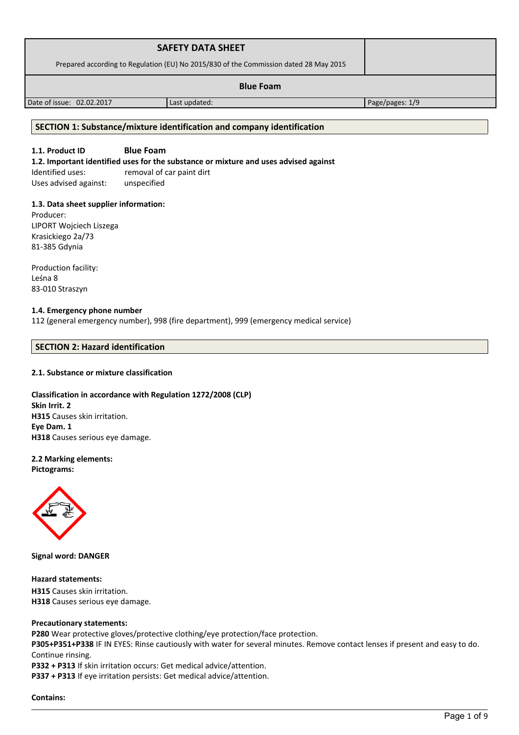| <b>SAFETY DATA SHEET</b><br>Prepared according to Regulation (EU) No 2015/830 of the Commission dated 28 May 2015 |               |                 |
|-------------------------------------------------------------------------------------------------------------------|---------------|-----------------|
| <b>Blue Foam</b>                                                                                                  |               |                 |
| Date of issue: 02.02.2017                                                                                         | Last updated: | Page/pages: 1/9 |

# **SECTION 1: Substance/mixture identification and company identification**

# **1.1. Product ID Blue Foam**

**1.2. Important identified uses for the substance or mixture and uses advised against**

Identified uses: removal of car paint dirt Uses advised against: unspecified

# **1.3. Data sheet supplier information:**

Producer: LIPORT Wojciech Liszega Krasickiego 2a/73 81-385 Gdynia

Production facility: Leśna 8 83-010 Straszyn

#### **1.4. Emergency phone number**

112 (general emergency number), 998 (fire department), 999 (emergency medical service)

#### **SECTION 2: Hazard identification**

# **2.1. Substance or mixture classification**

# **Classification in accordance with Regulation 1272/2008 (CLP) Skin Irrit. 2 H315** Causes skin irritation. **Eye Dam. 1 H318** Causes serious eye damage.

### **2.2 Marking elements: Pictograms:**



**Signal word: DANGER**

**Hazard statements: H315** Causes skin irritation. **H318** Causes serious eye damage.

# **Precautionary statements:**

**P280** Wear protective gloves/protective clothing/eye protection/face protection.

**P305+P351+P338** IF IN EYES: Rinse cautiously with water for several minutes. Remove contact lenses if present and easy to do. Continue rinsing.

**P332 + P313** If skin irritation occurs: Get medical advice/attention.

**P337 + P313** If eye irritation persists: Get medical advice/attention.

**Contains:**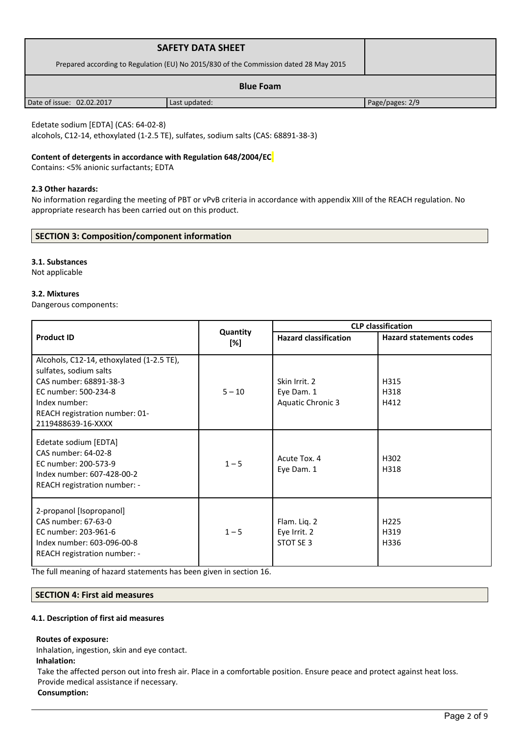| <b>SAFETY DATA SHEET</b>                                                              |               |                 |
|---------------------------------------------------------------------------------------|---------------|-----------------|
| Prepared according to Regulation (EU) No 2015/830 of the Commission dated 28 May 2015 |               |                 |
| <b>Blue Foam</b>                                                                      |               |                 |
| Date of issue: 02.02.2017                                                             | Last updated: | Page/pages: 2/9 |

# Edetate sodium [EDTA] (CAS: 64-02-8)

alcohols, C12-14, ethoxylated (1-2.5 TE), sulfates, sodium salts (CAS: 68891-38-3)

# **Content of detergents in accordance with Regulation 648/2004/EC**

Contains: <5% anionic surfactants; EDTA

### **2.3 Other hazards:**

No information regarding the meeting of PBT or vPvB criteria in accordance with appendix XIII of the REACH regulation. No appropriate research has been carried out on this product.

# **SECTION 3: Composition/component information**

# **3.1. Substances**

Not applicable

#### **3.2. Mixtures**

Dangerous components:

|                                                                                                                                                                                                |                 | <b>CLP classification</b>                               |                                  |  |
|------------------------------------------------------------------------------------------------------------------------------------------------------------------------------------------------|-----------------|---------------------------------------------------------|----------------------------------|--|
| <b>Product ID</b>                                                                                                                                                                              | Quantity<br>[%] | <b>Hazard classification</b>                            | <b>Hazard statements codes</b>   |  |
| Alcohols, C12-14, ethoxylated (1-2.5 TE),<br>sulfates, sodium salts<br>CAS number: 68891-38-3<br>EC number: 500-234-8<br>Index number:<br>REACH registration number: 01-<br>2119488639-16-XXXX | $5 - 10$        | Skin Irrit. 2<br>Eye Dam. 1<br><b>Aquatic Chronic 3</b> | H315<br>H318<br>H412             |  |
| Edetate sodium [EDTA]<br>CAS number: 64-02-8<br>EC number: 200-573-9<br>Index number: 607-428-00-2<br>REACH registration number: -                                                             | $1 - 5$         | Acute Tox. 4<br>Eye Dam. 1                              | H302<br>H318                     |  |
| 2-propanol [Isopropanol]<br>CAS number: 67-63-0<br>EC number: 203-961-6<br>Index number: 603-096-00-8<br>REACH registration number: -                                                          | $1 - 5$         | Flam. Liq. 2<br>Eye Irrit. 2<br>STOT SE 3               | H <sub>225</sub><br>H319<br>H336 |  |

The full meaning of hazard statements has been given in section 16.

#### **SECTION 4: First aid measures**

#### **4.1. Description of first aid measures**

#### **Routes of exposure:**

Inhalation, ingestion, skin and eye contact.

#### **Inhalation:**

Take the affected person out into fresh air. Place in a comfortable position. Ensure peace and protect against heat loss. Provide medical assistance if necessary.

# **Consumption:**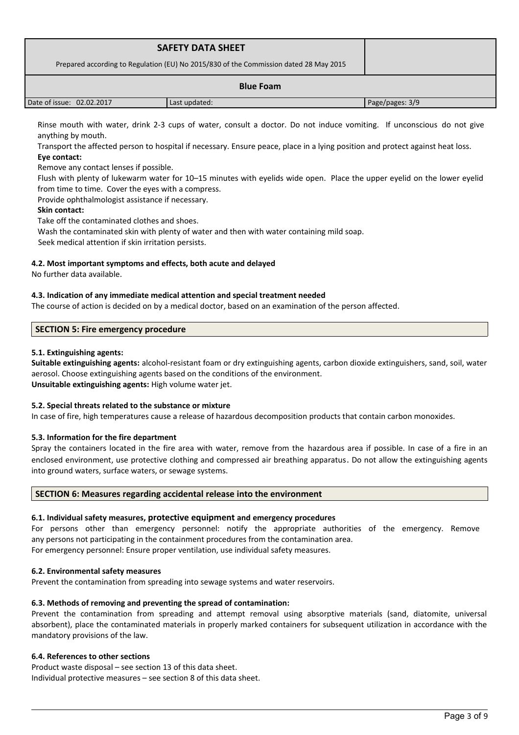| <b>SAFETY DATA SHEET</b><br>Prepared according to Regulation (EU) No 2015/830 of the Commission dated 28 May 2015 |               |                 |
|-------------------------------------------------------------------------------------------------------------------|---------------|-----------------|
| <b>Blue Foam</b>                                                                                                  |               |                 |
| Date of issue: 02.02.2017                                                                                         | Last updated: | Page/pages: 3/9 |

Rinse mouth with water, drink 2-3 cups of water, consult a doctor. Do not induce vomiting. If unconscious do not give anything by mouth.

Transport the affected person to hospital if necessary. Ensure peace, place in a lying position and protect against heat loss. **Eye contact:**

Remove any contact lenses if possible.

Flush with plenty of lukewarm water for 10–15 minutes with eyelids wide open. Place the upper eyelid on the lower eyelid from time to time. Cover the eyes with a compress.

Provide ophthalmologist assistance if necessary.

# **Skin contact:**

Take off the contaminated clothes and shoes. Wash the contaminated skin with plenty of water and then with water containing mild soap.

Seek medical attention if skin irritation persists.

# **4.2. Most important symptoms and effects, both acute and delayed**

No further data available.

# **4.3. Indication of any immediate medical attention and special treatment needed**

The course of action is decided on by a medical doctor, based on an examination of the person affected.

# **SECTION 5: Fire emergency procedure**

# **5.1. Extinguishing agents:**

**Suitable extinguishing agents:** alcohol-resistant foam or dry extinguishing agents, carbon dioxide extinguishers, sand, soil, water aerosol. Choose extinguishing agents based on the conditions of the environment. **Unsuitable extinguishing agents:** High volume water jet.

# **5.2. Special threats related to the substance or mixture**

In case of fire, high temperatures cause a release of hazardous decomposition products that contain carbon monoxides.

# **5.3. Information for the fire department**

Spray the containers located in the fire area with water, remove from the hazardous area if possible. In case of a fire in an enclosed environment, use protective clothing and compressed air breathing apparatus. Do not allow the extinguishing agents into ground waters, surface waters, or sewage systems.

# **SECTION 6: Measures regarding accidental release into the environment**

# **6.1. Individual safety measures, protective equipment and emergency procedures**

For persons other than emergency personnel: notify the appropriate authorities of the emergency. Remove any persons not participating in the containment procedures from the contamination area.

For emergency personnel: Ensure proper ventilation, use individual safety measures.

# **6.2. Environmental safety measures**

Prevent the contamination from spreading into sewage systems and water reservoirs.

# **6.3. Methods of removing and preventing the spread of contamination:**

Prevent the contamination from spreading and attempt removal using absorptive materials (sand, diatomite, universal absorbent), place the contaminated materials in properly marked containers for subsequent utilization in accordance with the mandatory provisions of the law.

# **6.4. References to other sections**

Product waste disposal – see section 13 of this data sheet. Individual protective measures – see section 8 of this data sheet.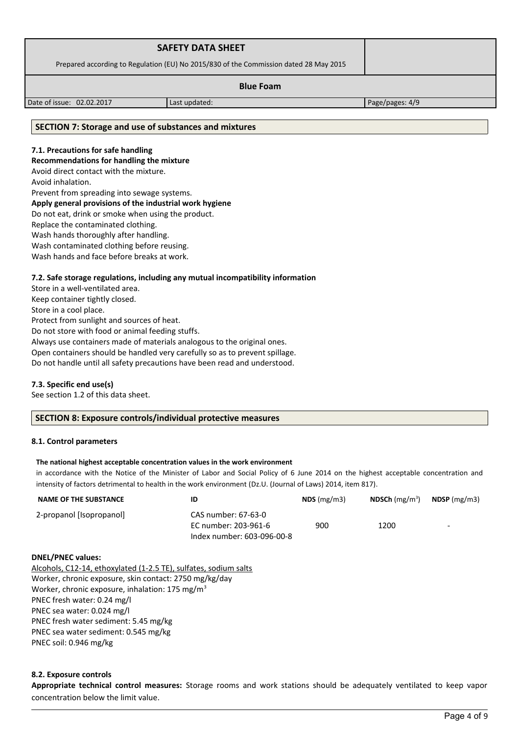| <b>SAFETY DATA SHEET</b>                                                              |  |
|---------------------------------------------------------------------------------------|--|
| Prepared according to Regulation (EU) No 2015/830 of the Commission dated 28 May 2015 |  |
| <b>Blue Foam</b>                                                                      |  |

Date of issue: 02.02.2017 Last updated: Page/pages: 4/9

### **SECTION 7: Storage and use of substances and mixtures**

# **7.1. Precautions for safe handling**

**Recommendations for handling the mixture** 

Avoid direct contact with the mixture.

Avoid inhalation.

Prevent from spreading into sewage systems.

#### **Apply general provisions of the industrial work hygiene**

Do not eat, drink or smoke when using the product.

Replace the contaminated clothing.

Wash hands thoroughly after handling.

Wash contaminated clothing before reusing.

Wash hands and face before breaks at work.

# **7.2. Safe storage regulations, including any mutual incompatibility information**

Store in a well-ventilated area. Keep container tightly closed. Store in a cool place. Protect from sunlight and sources of heat. Do not store with food or animal feeding stuffs. Always use containers made of materials analogous to the original ones. Open containers should be handled very carefully so as to prevent spillage. Do not handle until all safety precautions have been read and understood.

# **7.3. Specific end use(s)**

See section 1.2 of this data sheet.

# **SECTION 8: Exposure controls/individual protective measures**

#### **8.1. Control parameters**

#### **The national highest acceptable concentration values in the work environment**

in accordance with the Notice of the Minister of Labor and Social Policy of 6 June 2014 on the highest acceptable concentration and intensity of factors detrimental to health in the work environment (Dz.U. (Journal of Laws) 2014, item 817).

| <b>NAME OF THE SUBSTANCE</b> | ID                                                                        | $NDS$ (mg/m3) | <b>NDSCh</b> (mg/m <sup>3</sup> ) | $NDSP$ (mg/m3)           |
|------------------------------|---------------------------------------------------------------------------|---------------|-----------------------------------|--------------------------|
| 2-propanol [Isopropanol]     | CAS number: 67-63-0<br>EC number: 203-961-6<br>Index number: 603-096-00-8 | 900           | 1200                              | $\overline{\phantom{0}}$ |
| <b>DNEL/PNEC values:</b>     |                                                                           |               |                                   |                          |

#### **DNEL/PNEC values:**

Alcohols, C12-14, ethoxylated (1-2.5 TE), sulfates, sodium salts Worker, chronic exposure, skin contact: 2750 mg/kg/day Worker, chronic exposure, inhalation: 175 mg/m<sup>3</sup> PNEC fresh water: 0.24 mg/l PNEC sea water: 0.024 mg/l PNEC fresh water sediment: 5.45 mg/kg PNEC sea water sediment: 0.545 mg/kg PNEC soil: 0.946 mg/kg

# **8.2. Exposure controls**

**Appropriate technical control measures:** Storage rooms and work stations should be adequately ventilated to keep vapor concentration below the limit value.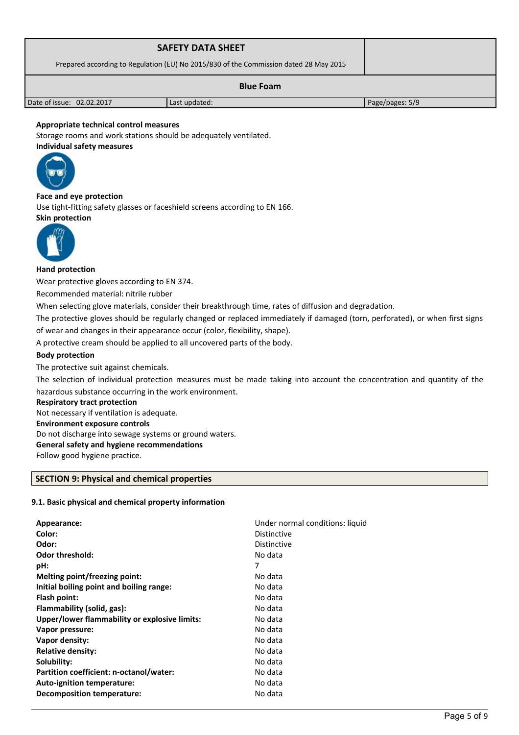| <b>SAFETY DATA SHEET</b>                                                              |               |                 |
|---------------------------------------------------------------------------------------|---------------|-----------------|
| Prepared according to Regulation (EU) No 2015/830 of the Commission dated 28 May 2015 |               |                 |
| <b>Blue Foam</b>                                                                      |               |                 |
| Date of issue: 02.02.2017                                                             | Last updated: | Page/pages: 5/9 |

# **Appropriate technical control measures**

Storage rooms and work stations should be adequately ventilated. **Individual safety measures** 



**Face and eye protection** Use tight-fitting safety glasses or faceshield screens according to EN 166. **Skin protection** 



# **Hand protection**

Wear protective gloves according to EN 374.

Recommended material: nitrile rubber

When selecting glove materials, consider their breakthrough time, rates of diffusion and degradation.

The protective gloves should be regularly changed or replaced immediately if damaged (torn, perforated), or when first signs of wear and changes in their appearance occur (color, flexibility, shape).

A protective cream should be applied to all uncovered parts of the body.

# **Body protection**

The protective suit against chemicals.

The selection of individual protection measures must be made taking into account the concentration and quantity of the hazardous substance occurring in the work environment.

#### **Respiratory tract protection**

Not necessary if ventilation is adequate. **Environment exposure controls**  Do not discharge into sewage systems or ground waters. **General safety and hygiene recommendations**

Follow good hygiene practice.

# **SECTION 9: Physical and chemical properties**

# **9.1. Basic physical and chemical property information**

| Appearance:                                   | Under normal conditions: liquid |
|-----------------------------------------------|---------------------------------|
| Color:                                        | <b>Distinctive</b>              |
| Odor:                                         | <b>Distinctive</b>              |
| <b>Odor threshold:</b>                        | No data                         |
| pH:                                           | 7                               |
| Melting point/freezing point:                 | No data                         |
| Initial boiling point and boiling range:      | No data                         |
| Flash point:                                  | No data                         |
| Flammability (solid, gas):                    | No data                         |
| Upper/lower flammability or explosive limits: | No data                         |
| Vapor pressure:                               | No data                         |
| Vapor density:                                | No data                         |
| <b>Relative density:</b>                      | No data                         |
| Solubility:                                   | No data                         |
| Partition coefficient: n-octanol/water:       | No data                         |
| Auto-ignition temperature:                    | No data                         |
| <b>Decomposition temperature:</b>             | No data                         |
|                                               |                                 |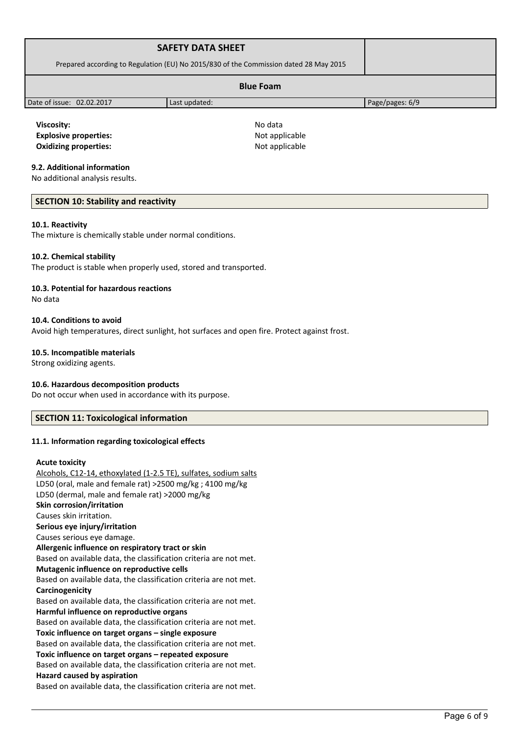| <b>SAFETY DATA SHEET</b>                                                              |               |                 |  |
|---------------------------------------------------------------------------------------|---------------|-----------------|--|
| Prepared according to Regulation (EU) No 2015/830 of the Commission dated 28 May 2015 |               |                 |  |
| <b>Blue Foam</b>                                                                      |               |                 |  |
| Date of issue: 02.02.2017                                                             | Last updated: | Page/pages: 6/9 |  |
|                                                                                       |               |                 |  |

**Viscosity:** No data **Explosive properties:**  $\qquad \qquad \text{Not applicable}$ **Oxidizing properties:** Not applicable

# **9.2. Additional information**

No additional analysis results.

# **SECTION 10: Stability and reactivity**

#### **10.1. Reactivity**

The mixture is chemically stable under normal conditions.

# **10.2. Chemical stability**

The product is stable when properly used, stored and transported.

# **10.3. Potential for hazardous reactions**

No data

#### **10.4. Conditions to avoid**

Avoid high temperatures, direct sunlight, hot surfaces and open fire. Protect against frost.

#### **10.5. Incompatible materials**

Strong oxidizing agents.

# **10.6. Hazardous decomposition products**

Do not occur when used in accordance with its purpose.

# **SECTION 11: Toxicological information**

# **11.1. Information regarding toxicological effects**

#### **Acute toxicity**

Alcohols, C12-14, ethoxylated (1-2.5 TE), sulfates, sodium salts LD50 (oral, male and female rat) >2500 mg/kg ; 4100 mg/kg LD50 (dermal, male and female rat) >2000 mg/kg **Skin corrosion/irritation** Causes skin irritation. **Serious eye injury/irritation** Causes serious eye damage. **Allergenic influence on respiratory tract or skin** Based on available data, the classification criteria are not met. **Mutagenic influence on reproductive cells** Based on available data, the classification criteria are not met. **Carcinogenicity** Based on available data, the classification criteria are not met. **Harmful influence on reproductive organs** Based on available data, the classification criteria are not met. **Toxic influence on target organs – single exposure** Based on available data, the classification criteria are not met. **Toxic influence on target organs – repeated exposure** Based on available data, the classification criteria are not met. **Hazard caused by aspiration** Based on available data, the classification criteria are not met.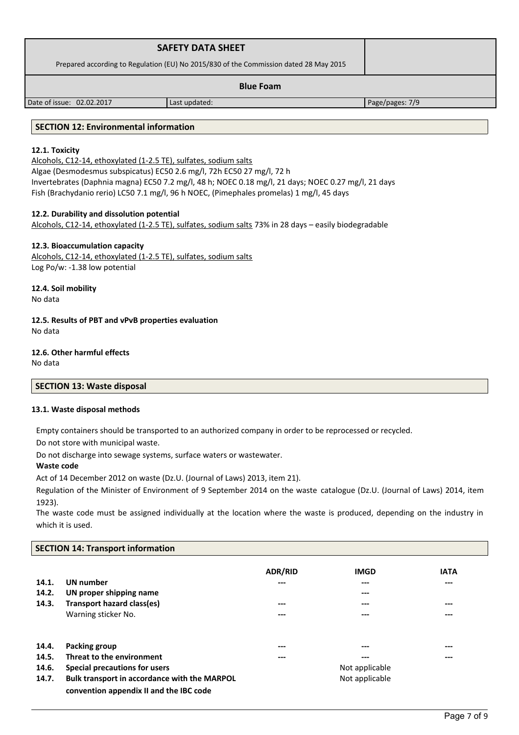| <b>SAFETY DATA SHEET</b>                                                              |  |
|---------------------------------------------------------------------------------------|--|
| Prepared according to Regulation (EU) No 2015/830 of the Commission dated 28 May 2015 |  |
| <b>Blue Foam</b>                                                                      |  |

Date of issue: 02.02.2017 Last updated: Page/pages: 7/9

# **SECTION 12: Environmental information**

# **12.1. Toxicity**

Alcohols, C12-14, ethoxylated (1-2.5 TE), sulfates, sodium salts Algae (Desmodesmus subspicatus) EC50 2.6 mg/l, 72h EC50 27 mg/l, 72 h Invertebrates (Daphnia magna) EC50 7.2 mg/l, 48 h; NOEC 0.18 mg/l, 21 days; NOEC 0.27 mg/l, 21 days Fish (Brachydanio rerio) LC50 7.1 mg/l, 96 h NOEC, (Pimephales promelas) 1 mg/l, 45 days

# **12.2. Durability and dissolution potential**

Alcohols, C12-14, ethoxylated (1-2.5 TE), sulfates, sodium salts 73% in 28 days – easily biodegradable

# **12.3. Bioaccumulation capacity**

Alcohols, C12-14, ethoxylated (1-2.5 TE), sulfates, sodium salts Log Po/w: -1.38 low potential

**12.4. Soil mobility** No data

**12.5. Results of PBT and vPvB properties evaluation** No data

# **12.6. Other harmful effects**

No data

# **SECTION 13: Waste disposal**

# **13.1. Waste disposal methods**

Empty containers should be transported to an authorized company in order to be reprocessed or recycled.

Do not store with municipal waste.

Do not discharge into sewage systems, surface waters or wastewater.

# **Waste code**

Act of 14 December 2012 on waste (Dz.U. (Journal of Laws) 2013, item 21).

Regulation of the Minister of Environment of 9 September 2014 on the waste catalogue (Dz.U. (Journal of Laws) 2014, item 1923).

The waste code must be assigned individually at the location where the waste is produced, depending on the industry in which it is used.

# **SECTION 14: Transport information**

|       |                                              | <b>ADR/RID</b> | <b>IMGD</b>    | <b>IATA</b> |
|-------|----------------------------------------------|----------------|----------------|-------------|
| 14.1. | <b>UN</b> number                             | ---            | ---            | ---         |
| 14.2. | UN proper shipping name                      |                | $---$          |             |
| 14.3. | Transport hazard class(es)                   | ---            | ---            | ---         |
|       | Warning sticker No.                          | ---            | ---            | ---         |
|       |                                              |                |                |             |
| 14.4. | Packing group                                | ---            | ---            | ---         |
| 14.5. | Threat to the environment                    | ---            | $---$          | ---         |
| 14.6. | Special precautions for users                |                | Not applicable |             |
| 14.7. | Bulk transport in accordance with the MARPOL |                | Not applicable |             |
|       | convention appendix II and the IBC code      |                |                |             |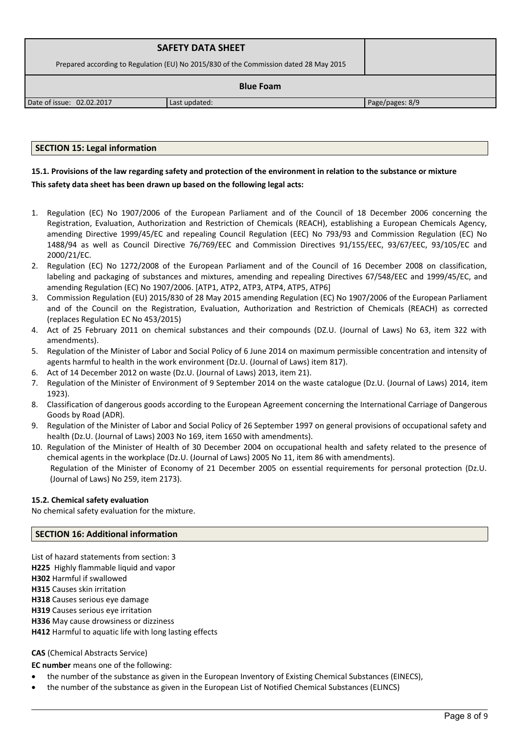| <b>SAFETY DATA SHEET</b>                                                              |               |                 |  |
|---------------------------------------------------------------------------------------|---------------|-----------------|--|
| Prepared according to Regulation (EU) No 2015/830 of the Commission dated 28 May 2015 |               |                 |  |
| <b>Blue Foam</b>                                                                      |               |                 |  |
| Date of issue: 02.02.2017                                                             | Last updated: | Page/pages: 8/9 |  |

# **SECTION 15: Legal information**

# **15.1. Provisions of the law regarding safety and protection of the environment in relation to the substance or mixture This safety data sheet has been drawn up based on the following legal acts:**

- 1. Regulation (EC) No 1907/2006 of the European Parliament and of the Council of 18 December 2006 concerning the Registration, Evaluation, Authorization and Restriction of Chemicals (REACH), establishing a European Chemicals Agency, amending Directive 1999/45/EC and repealing Council Regulation (EEC) No 793/93 and Commission Regulation (EC) No 1488/94 as well as Council Directive 76/769/EEC and Commission Directives 91/155/EEC, 93/67/EEC, 93/105/EC and 2000/21/EC.
- 2. Regulation (EC) No 1272/2008 of the European Parliament and of the Council of 16 December 2008 on classification, labeling and packaging of substances and mixtures, amending and repealing Directives 67/548/EEC and 1999/45/EC, and amending Regulation (EC) No 1907/2006. [ATP1, ATP2, ATP3, ATP4, ATP5, ATP6]
- 3. Commission Regulation (EU) 2015/830 of 28 May 2015 amending Regulation (EC) No 1907/2006 of the European Parliament and of the Council on the Registration, Evaluation, Authorization and Restriction of Chemicals (REACH) as corrected (replaces Regulation EC No 453/2015)
- 4. Act of 25 February 2011 on chemical substances and their compounds (DZ.U. (Journal of Laws) No 63, item 322 with amendments).
- 5. Regulation of the Minister of Labor and Social Policy of 6 June 2014 on maximum permissible concentration and intensity of agents harmful to health in the work environment (Dz.U. (Journal of Laws) item 817).
- 6. Act of 14 December 2012 on waste (Dz.U. (Journal of Laws) 2013, item 21).
- 7. Regulation of the Minister of Environment of 9 September 2014 on the waste catalogue (Dz.U. (Journal of Laws) 2014, item 1923).
- 8. Classification of dangerous goods according to the European Agreement concerning the International Carriage of Dangerous Goods by Road (ADR).
- 9. Regulation of the Minister of Labor and Social Policy of 26 September 1997 on general provisions of occupational safety and health (Dz.U. (Journal of Laws) 2003 No 169, item 1650 with amendments).
- 10. Regulation of the Minister of Health of 30 December 2004 on occupational health and safety related to the presence of chemical agents in the workplace (Dz.U. (Journal of Laws) 2005 No 11, item 86 with amendments). Regulation of the Minister of Economy of 21 December 2005 on essential requirements for personal protection (Dz.U. (Journal of Laws) No 259, item 2173).

# **15.2. Chemical safety evaluation**

No chemical safety evaluation for the mixture.

# **SECTION 16: Additional information**

List of hazard statements from section: 3

**H225** Highly flammable liquid and vapor

**H302** Harmful if swallowed

**H315** Causes skin irritation

**H318** Causes serious eye damage

**H319** Causes serious eye irritation

**H336** May cause drowsiness or dizziness

**H412** Harmful to aquatic life with long lasting effects

**CAS** (Chemical Abstracts Service)

**EC number** means one of the following:

- the number of the substance as given in the European Inventory of Existing Chemical Substances (EINECS),
- the number of the substance as given in the European List of Notified Chemical Substances (ELINCS)